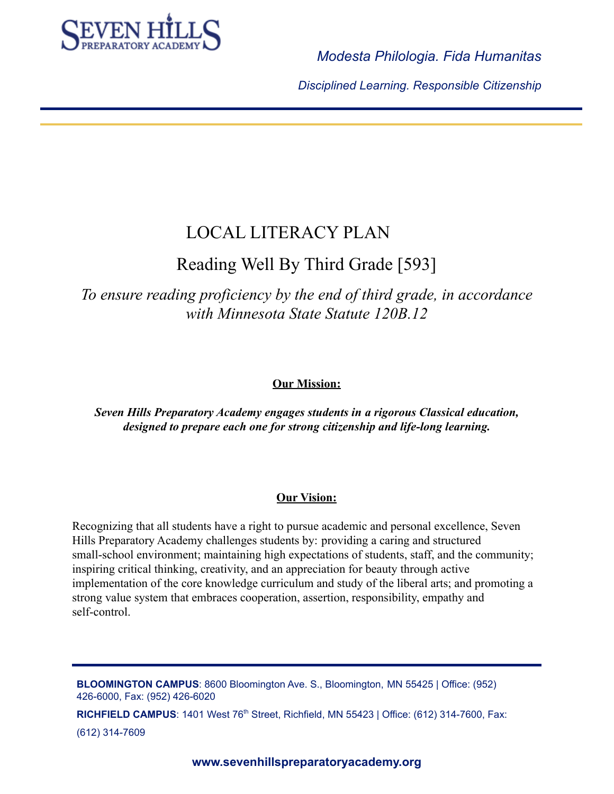

*Disciplined Learning. Responsible Citizenship*

# LOCAL LITERACY PLAN

# Reading Well By Third Grade [593]

*To ensure reading proficiency by the end of third grade, in accordance with Minnesota State Statute 120B.12*

# **Our Mission:**

*Seven Hills Preparatory Academy engages students in a rigorous Classical education, designed to prepare each one for strong citizenship and life-long learning.*

## **Our Vision:**

Recognizing that all students have a right to pursue academic and personal excellence, Seven Hills Preparatory Academy challenges students by: providing a caring and structured small-school environment; maintaining high expectations of students, staff, and the community; inspiring critical thinking, creativity, and an appreciation for beauty through active implementation of the core knowledge curriculum and study of the liberal arts; and promoting a strong value system that embraces cooperation, assertion, responsibility, empathy and self-control.

**BLOOMINGTON CAMPUS**: 8600 Bloomington Ave. S., Bloomington, MN 55425 | Office: (952) 426-6000, Fax: (952) 426-6020

**RICHFIELD CAMPUS**: 1401 West 76<sup>th</sup> Street, Richfield, MN 55423 | Office: (612) 314-7600, Fax:

(612) 314-7609

**www.sevenhillspreparatoryacademy.org**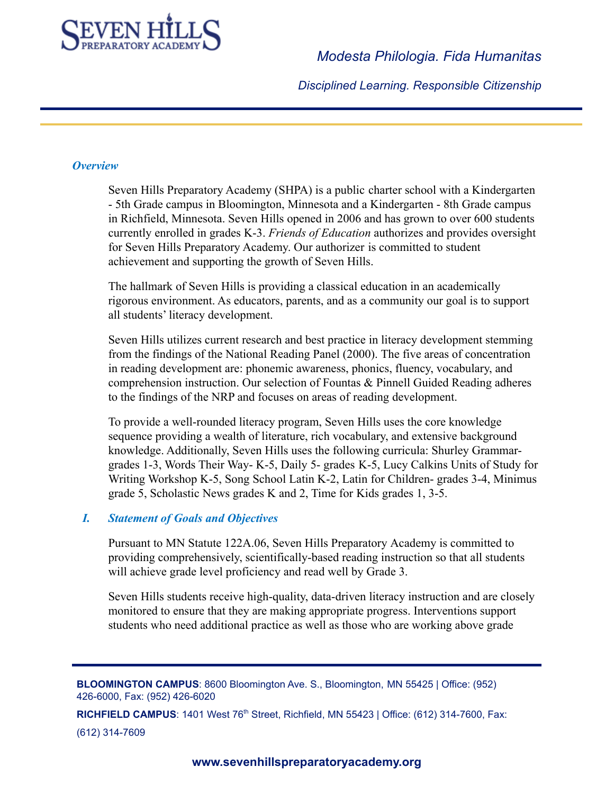

*Disciplined Learning. Responsible Citizenship*

#### *Overview*

Seven Hills Preparatory Academy (SHPA) is a public charter school with a Kindergarten - 5th Grade campus in Bloomington, Minnesota and a Kindergarten - 8th Grade campus in Richfield, Minnesota. Seven Hills opened in 2006 and has grown to over 600 students currently enrolled in grades K-3. *Friends of Education* authorizes and provides oversight for Seven Hills Preparatory Academy. Our authorizer is committed to student achievement and supporting the growth of Seven Hills.

The hallmark of Seven Hills is providing a classical education in an academically rigorous environment. As educators, parents, and as a community our goal is to support all students' literacy development.

Seven Hills utilizes current research and best practice in literacy development stemming from the findings of the National Reading Panel (2000). The five areas of concentration in reading development are: phonemic awareness, phonics, fluency, vocabulary, and comprehension instruction. Our selection of Fountas & Pinnell Guided Reading adheres to the findings of the NRP and focuses on areas of reading development.

To provide a well-rounded literacy program, Seven Hills uses the core knowledge sequence providing a wealth of literature, rich vocabulary, and extensive background knowledge. Additionally, Seven Hills uses the following curricula: Shurley Grammargrades 1-3, Words Their Way- K-5, Daily 5- grades K-5, Lucy Calkins Units of Study for Writing Workshop K-5, Song School Latin K-2, Latin for Children- grades 3-4, Minimus grade 5, Scholastic News grades K and 2, Time for Kids grades 1, 3-5.

#### *I. Statement of Goals and Objectives*

Pursuant to MN Statute 122A.06, Seven Hills Preparatory Academy is committed to providing comprehensively, scientifically-based reading instruction so that all students will achieve grade level proficiency and read well by Grade 3.

Seven Hills students receive high-quality, data-driven literacy instruction and are closely monitored to ensure that they are making appropriate progress. Interventions support students who need additional practice as well as those who are working above grade

**BLOOMINGTON CAMPUS**: 8600 Bloomington Ave. S., Bloomington, MN 55425 | Office: (952) 426-6000, Fax: (952) 426-6020

**RICHFIELD CAMPUS**: 1401 West 76<sup>th</sup> Street, Richfield, MN 55423 | Office: (612) 314-7600, Fax: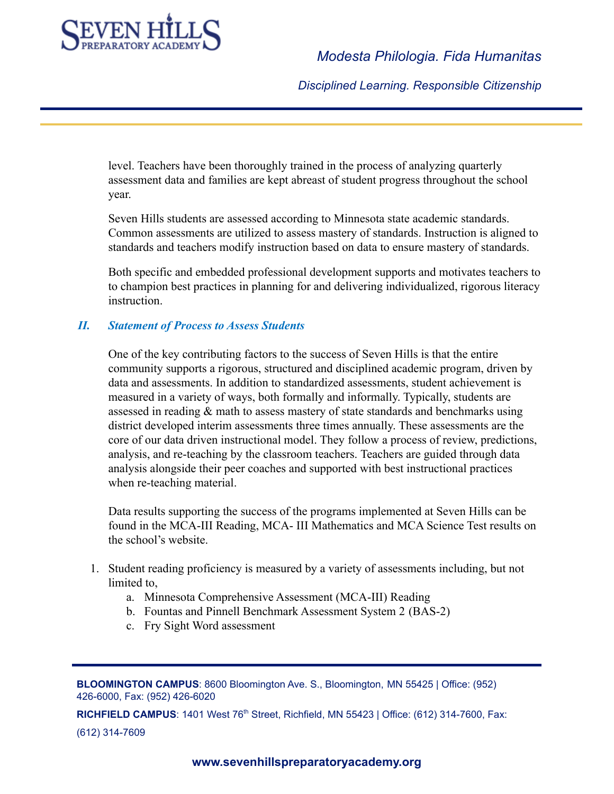

*Disciplined Learning. Responsible Citizenship*

level. Teachers have been thoroughly trained in the process of analyzing quarterly assessment data and families are kept abreast of student progress throughout the school year.

Seven Hills students are assessed according to Minnesota state academic standards. Common assessments are utilized to assess mastery of standards. Instruction is aligned to standards and teachers modify instruction based on data to ensure mastery of standards.

Both specific and embedded professional development supports and motivates teachers to to champion best practices in planning for and delivering individualized, rigorous literacy instruction.

#### *II. Statement of Process to Assess Students*

One of the key contributing factors to the success of Seven Hills is that the entire community supports a rigorous, structured and disciplined academic program, driven by data and assessments. In addition to standardized assessments, student achievement is measured in a variety of ways, both formally and informally. Typically, students are assessed in reading & math to assess mastery of state standards and benchmarks using district developed interim assessments three times annually. These assessments are the core of our data driven instructional model. They follow a process of review, predictions, analysis, and re-teaching by the classroom teachers. Teachers are guided through data analysis alongside their peer coaches and supported with best instructional practices when re-teaching material.

Data results supporting the success of the programs implemented at Seven Hills can be found in the MCA-III Reading, MCA- III Mathematics and MCA Science Test results on the school's website.

- 1. Student reading proficiency is measured by a variety of assessments including, but not limited to,
	- a. Minnesota Comprehensive Assessment (MCA-III) Reading
	- b. Fountas and Pinnell Benchmark Assessment System 2 (BAS-2)
	- c. Fry Sight Word assessment

**BLOOMINGTON CAMPUS**: 8600 Bloomington Ave. S., Bloomington, MN 55425 | Office: (952) 426-6000, Fax: (952) 426-6020

**RICHFIELD CAMPUS**: 1401 West 76<sup>th</sup> Street, Richfield, MN 55423 | Office: (612) 314-7600, Fax: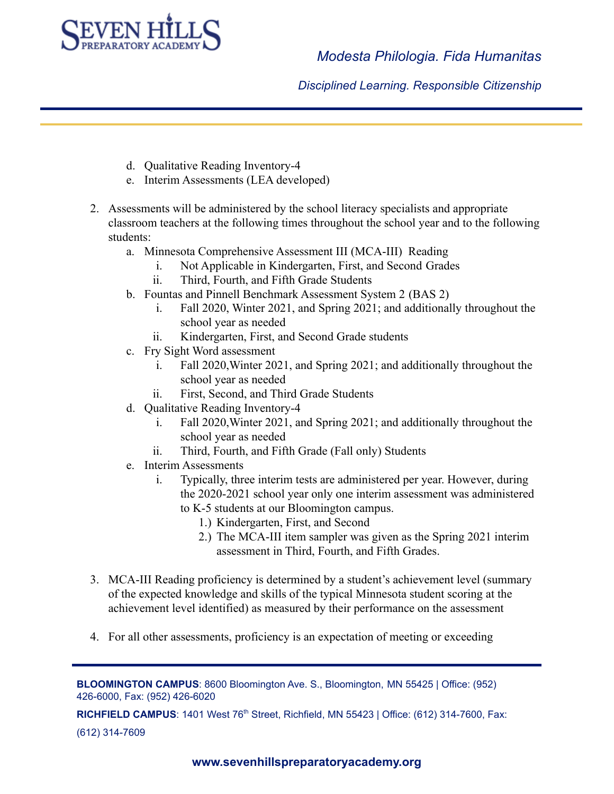

*Disciplined Learning. Responsible Citizenship*

- d. Qualitative Reading Inventory-4
- e. Interim Assessments (LEA developed)
- 2. Assessments will be administered by the school literacy specialists and appropriate classroom teachers at the following times throughout the school year and to the following students:
	- a. Minnesota Comprehensive Assessment III (MCA-III) Reading
		- i. Not Applicable in Kindergarten, First, and Second Grades
		- ii. Third, Fourth, and Fifth Grade Students
	- b. Fountas and Pinnell Benchmark Assessment System 2 (BAS 2)
		- i. Fall 2020, Winter 2021, and Spring 2021; and additionally throughout the school year as needed
		- ii. Kindergarten, First, and Second Grade students
	- c. Fry Sight Word assessment
		- i. Fall 2020,Winter 2021, and Spring 2021; and additionally throughout the school year as needed
		- ii. First, Second, and Third Grade Students
	- d. Qualitative Reading Inventory-4
		- i. Fall 2020,Winter 2021, and Spring 2021; and additionally throughout the school year as needed
		- ii. Third, Fourth, and Fifth Grade (Fall only) Students
	- e. Interim Assessments
		- i. Typically, three interim tests are administered per year. However, during the 2020-2021 school year only one interim assessment was administered to K-5 students at our Bloomington campus.
			- 1.) Kindergarten, First, and Second
			- 2.) The MCA-III item sampler was given as the Spring 2021 interim assessment in Third, Fourth, and Fifth Grades.
- 3. MCA-III Reading proficiency is determined by a student's achievement level (summary of the expected knowledge and skills of the typical Minnesota student scoring at the achievement level identified) as measured by their performance on the assessment
- 4. For all other assessments, proficiency is an expectation of meeting or exceeding

**BLOOMINGTON CAMPUS**: 8600 Bloomington Ave. S., Bloomington, MN 55425 | Office: (952) 426-6000, Fax: (952) 426-6020

**RICHFIELD CAMPUS**: 1401 West 76<sup>th</sup> Street, Richfield, MN 55423 | Office: (612) 314-7600, Fax: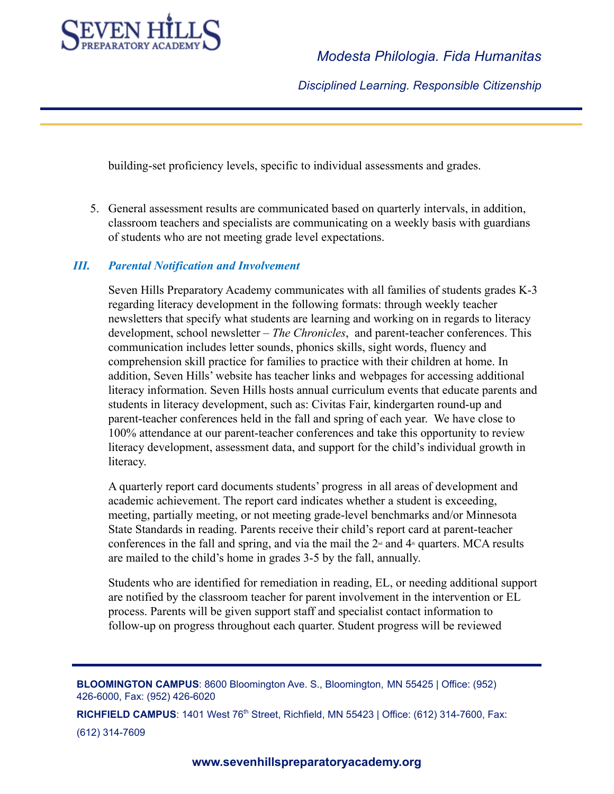

*Disciplined Learning. Responsible Citizenship*

building-set proficiency levels, specific to individual assessments and grades.

5. General assessment results are communicated based on quarterly intervals, in addition, classroom teachers and specialists are communicating on a weekly basis with guardians of students who are not meeting grade level expectations.

#### *III. Parental Notification and Involvement*

Seven Hills Preparatory Academy communicates with all families of students grades K-3 regarding literacy development in the following formats: through weekly teacher newsletters that specify what students are learning and working on in regards to literacy development, school newsletter – *The Chronicles*, and parent-teacher conferences. This communication includes letter sounds, phonics skills, sight words, fluency and comprehension skill practice for families to practice with their children at home. In addition, Seven Hills' website has teacher links and webpages for accessing additional literacy information. Seven Hills hosts annual curriculum events that educate parents and students in literacy development, such as: Civitas Fair, kindergarten round-up and parent-teacher conferences held in the fall and spring of each year. We have close to 100% attendance at our parent-teacher conferences and take this opportunity to review literacy development, assessment data, and support for the child's individual growth in literacy.

A quarterly report card documents students' progress in all areas of development and academic achievement. The report card indicates whether a student is exceeding, meeting, partially meeting, or not meeting grade-level benchmarks and/or Minnesota State Standards in reading. Parents receive their child's report card at parent-teacher conferences in the fall and spring, and via the mail the  $2<sup>nd</sup>$  and  $4<sup>th</sup>$  quarters. MCA results are mailed to the child's home in grades 3-5 by the fall, annually.

Students who are identified for remediation in reading, EL, or needing additional support are notified by the classroom teacher for parent involvement in the intervention or EL process. Parents will be given support staff and specialist contact information to follow-up on progress throughout each quarter. Student progress will be reviewed

**BLOOMINGTON CAMPUS**: 8600 Bloomington Ave. S., Bloomington, MN 55425 | Office: (952) 426-6000, Fax: (952) 426-6020

**RICHFIELD CAMPUS**: 1401 West 76<sup>th</sup> Street, Richfield, MN 55423 | Office: (612) 314-7600, Fax:

(612) 314-7609

**www.sevenhillspreparatoryacademy.org**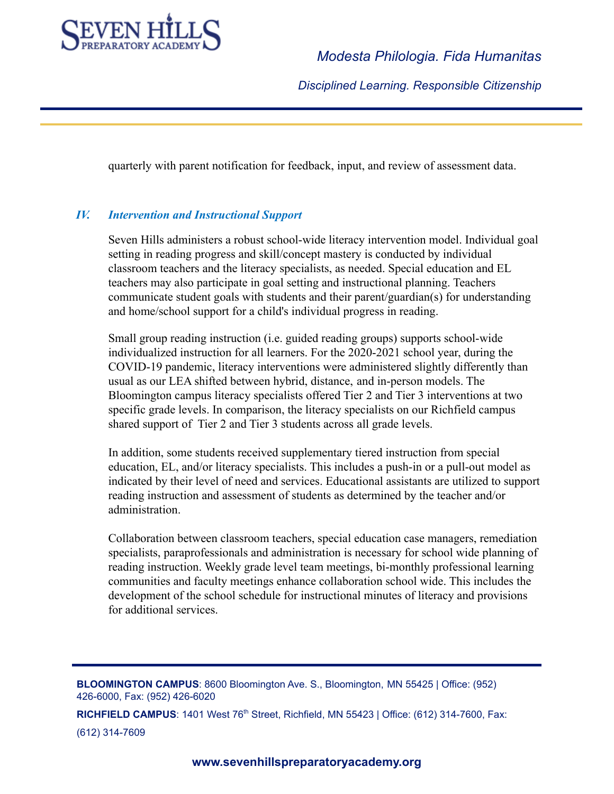

*Disciplined Learning. Responsible Citizenship*

quarterly with parent notification for feedback, input, and review of assessment data.

## *IV. Intervention and Instructional Support*

Seven Hills administers a robust school-wide literacy intervention model. Individual goal setting in reading progress and skill/concept mastery is conducted by individual classroom teachers and the literacy specialists, as needed. Special education and EL teachers may also participate in goal setting and instructional planning. Teachers communicate student goals with students and their parent/guardian(s) for understanding and home/school support for a child's individual progress in reading.

Small group reading instruction (i.e. guided reading groups) supports school-wide individualized instruction for all learners. For the 2020-2021 school year, during the COVID-19 pandemic, literacy interventions were administered slightly differently than usual as our LEA shifted between hybrid, distance, and in-person models. The Bloomington campus literacy specialists offered Tier 2 and Tier 3 interventions at two specific grade levels. In comparison, the literacy specialists on our Richfield campus shared support of Tier 2 and Tier 3 students across all grade levels.

In addition, some students received supplementary tiered instruction from special education, EL, and/or literacy specialists. This includes a push-in or a pull-out model as indicated by their level of need and services. Educational assistants are utilized to support reading instruction and assessment of students as determined by the teacher and/or administration.

Collaboration between classroom teachers, special education case managers, remediation specialists, paraprofessionals and administration is necessary for school wide planning of reading instruction. Weekly grade level team meetings, bi-monthly professional learning communities and faculty meetings enhance collaboration school wide. This includes the development of the school schedule for instructional minutes of literacy and provisions for additional services.

**BLOOMINGTON CAMPUS**: 8600 Bloomington Ave. S., Bloomington, MN 55425 | Office: (952) 426-6000, Fax: (952) 426-6020

**RICHFIELD CAMPUS**: 1401 West 76<sup>th</sup> Street, Richfield, MN 55423 | Office: (612) 314-7600, Fax: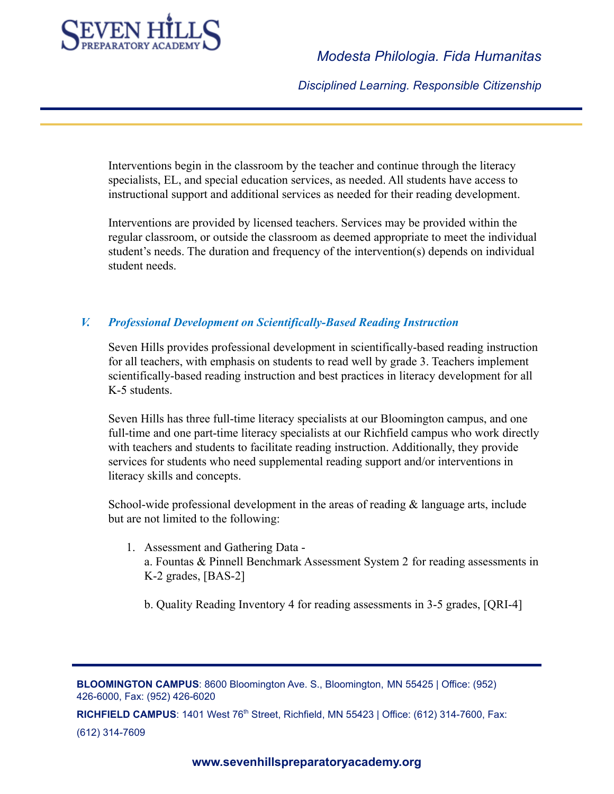

*Disciplined Learning. Responsible Citizenship*

Interventions begin in the classroom by the teacher and continue through the literacy specialists, EL, and special education services, as needed. All students have access to instructional support and additional services as needed for their reading development.

Interventions are provided by licensed teachers. Services may be provided within the regular classroom, or outside the classroom as deemed appropriate to meet the individual student's needs. The duration and frequency of the intervention(s) depends on individual student needs.

#### *V. Professional Development on Scientifically-Based Reading Instruction*

Seven Hills provides professional development in scientifically-based reading instruction for all teachers, with emphasis on students to read well by grade 3. Teachers implement scientifically-based reading instruction and best practices in literacy development for all K-5 students.

Seven Hills has three full-time literacy specialists at our Bloomington campus, and one full-time and one part-time literacy specialists at our Richfield campus who work directly with teachers and students to facilitate reading instruction. Additionally, they provide services for students who need supplemental reading support and/or interventions in literacy skills and concepts.

School-wide professional development in the areas of reading  $\&$  language arts, include but are not limited to the following:

- 1. Assessment and Gathering Data a. Fountas & Pinnell Benchmark Assessment System 2 for reading assessments in K-2 grades, [BAS-2]
	- b. Quality Reading Inventory 4 for reading assessments in 3-5 grades, [QRI-4]

**BLOOMINGTON CAMPUS**: 8600 Bloomington Ave. S., Bloomington, MN 55425 | Office: (952) 426-6000, Fax: (952) 426-6020

**RICHFIELD CAMPUS**: 1401 West 76<sup>th</sup> Street, Richfield, MN 55423 | Office: (612) 314-7600, Fax: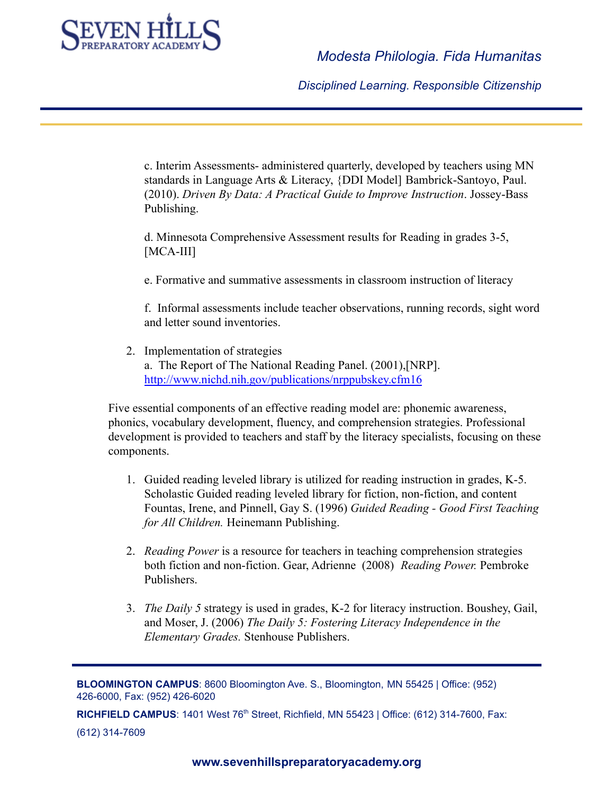

*Disciplined Learning. Responsible Citizenship*

c. Interim Assessments- administered quarterly, developed by teachers using MN standards in Language Arts & Literacy, {DDI Model] Bambrick-Santoyo, Paul. (2010). *Driven By Data: A Practical Guide to Improve Instruction*. Jossey-Bass Publishing.

d. Minnesota Comprehensive Assessment results for Reading in grades 3-5, [MCA-III]

e. Formative and summative assessments in classroom instruction of literacy

f. Informal assessments include teacher observations, running records, sight word and letter sound inventories.

2. Implementation of strategies a. The Report of The National Reading Panel. (2001),[NRP]. <http://www.nichd.nih.gov/publications/nrppubskey.cfm16>

Five essential components of an effective reading model are: phonemic awareness, phonics, vocabulary development, fluency, and comprehension strategies. Professional development is provided to teachers and staff by the literacy specialists, focusing on these components.

- 1. Guided reading leveled library is utilized for reading instruction in grades, K-5. Scholastic Guided reading leveled library for fiction, non-fiction, and content Fountas, Irene, and Pinnell, Gay S. (1996) *Guided Reading - Good First Teaching for All Children.* Heinemann Publishing.
- 2. *Reading Power* is a resource for teachers in teaching comprehension strategies both fiction and non-fiction. Gear, Adrienne (2008) *Reading Power.* Pembroke Publishers.
- 3. *The Daily 5* strategy is used in grades, K-2 for literacy instruction. Boushey, Gail, and Moser, J. (2006) *The Daily 5: Fostering Literacy Independence in the Elementary Grades.* Stenhouse Publishers.

**BLOOMINGTON CAMPUS**: 8600 Bloomington Ave. S., Bloomington, MN 55425 | Office: (952) 426-6000, Fax: (952) 426-6020

**RICHFIELD CAMPUS**: 1401 West 76<sup>th</sup> Street, Richfield, MN 55423 | Office: (612) 314-7600, Fax: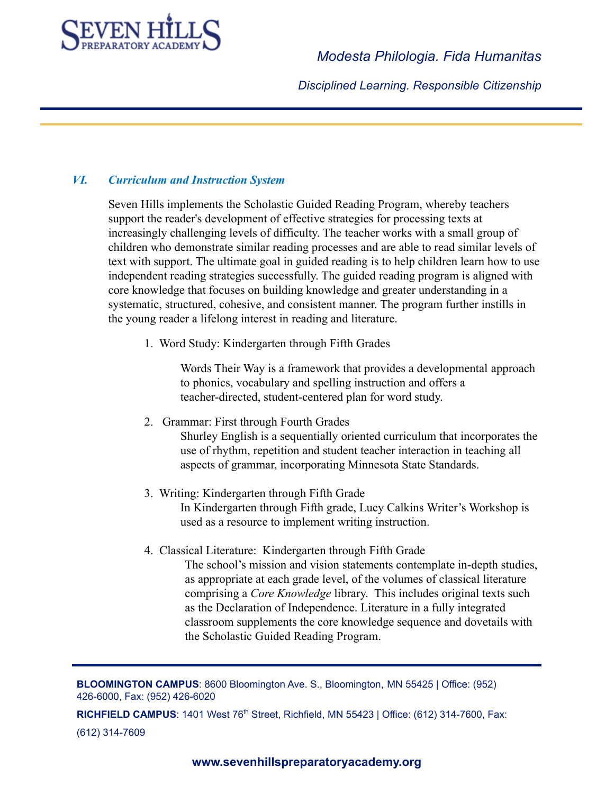

*Disciplined Learning. Responsible Citizenship*

## *VI. Curriculum and Instruction System*

Seven Hills implements the Scholastic Guided Reading Program, whereby teachers support the reader's development of effective strategies for processing texts at increasingly challenging levels of difficulty. The teacher works with a small group of children who demonstrate similar reading processes and are able to read similar levels of text with support. The ultimate goal in guided reading is to help children learn how to use independent reading strategies successfully. The guided reading program is aligned with core knowledge that focuses on building knowledge and greater understanding in a systematic, structured, cohesive, and consistent manner. The program further instills in the young reader a lifelong interest in reading and literature.

1. Word Study: Kindergarten through Fifth Grades

Words Their Way is a framework that provides a developmental approach to phonics, vocabulary and spelling instruction and offers a teacher-directed, student-centered plan for word study.

- 2. Grammar: First through Fourth Grades Shurley English is a sequentially oriented curriculum that incorporates the use of rhythm, repetition and student teacher interaction in teaching all aspects of grammar, incorporating Minnesota State Standards.
- 3. Writing: Kindergarten through Fifth Grade In Kindergarten through Fifth grade, Lucy Calkins Writer's Workshop is used as a resource to implement writing instruction.
- 4. Classical Literature: Kindergarten through Fifth Grade The school's mission and vision statements contemplate in-depth studies, as appropriate at each grade level, of the volumes of classical literature comprising a *Core Knowledge* library. This includes original texts such as the Declaration of Independence. Literature in a fully integrated classroom supplements the core knowledge sequence and dovetails with the Scholastic Guided Reading Program.

**BLOOMINGTON CAMPUS**: 8600 Bloomington Ave. S., Bloomington, MN 55425 | Office: (952) 426-6000, Fax: (952) 426-6020

**RICHFIELD CAMPUS**: 1401 West 76<sup>th</sup> Street, Richfield, MN 55423 | Office: (612) 314-7600, Fax: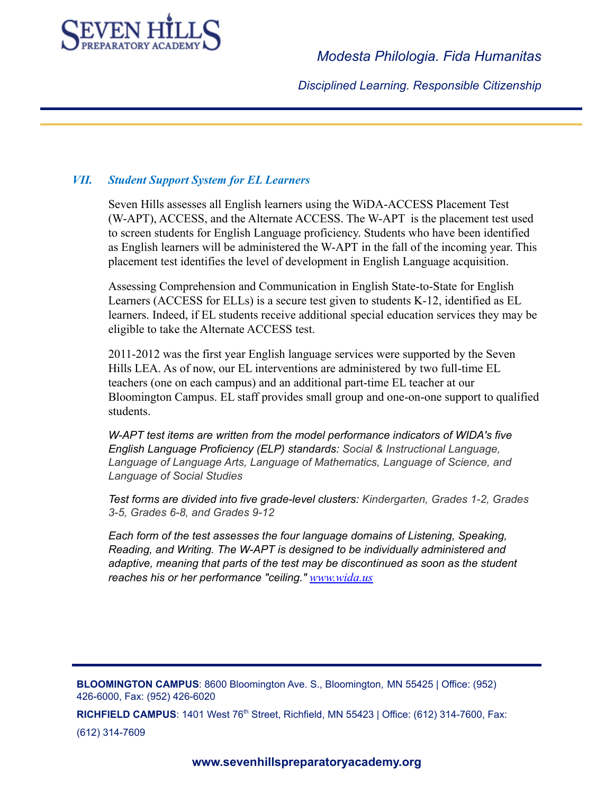

*Disciplined Learning. Responsible Citizenship*

#### *VII. Student Support System for EL Learners*

Seven Hills assesses all English learners using the WiDA-ACCESS Placement Test (W-APT), ACCESS, and the Alternate ACCESS. The W-APT is the placement test used to screen students for English Language proficiency. Students who have been identified as English learners will be administered the W-APT in the fall of the incoming year. This placement test identifies the level of development in English Language acquisition.

Assessing Comprehension and Communication in English State-to-State for English Learners (ACCESS for ELLs) is a secure test given to students K-12, identified as EL learners. Indeed, if EL students receive additional special education services they may be eligible to take the Alternate ACCESS test.

2011-2012 was the first year English language services were supported by the Seven Hills LEA. As of now, our EL interventions are administered by two full-time EL teachers (one on each campus) and an additional part-time EL teacher at our Bloomington Campus. EL staff provides small group and one-on-one support to qualified students.

*W-APT test items are written from the model performance indicators of WIDA's five English Language Proficiency (ELP) standards: Social & Instructional Language, Language of Language Arts, Language of Mathematics, Language of Science, and Language of Social Studies*

*Test forms are divided into five grade-level clusters: Kindergarten, Grades 1-2, Grades 3-5, Grades 6-8, and Grades 9-12*

*Each form of the test assesses the four language domains of Listening, Speaking, Reading, and Writing. The W-APT is designed to be individually administered and adaptive, meaning that parts of the test may be discontinued as soon as the student reaches his or her performance "ceiling." [www.wida.us](http://www.wida.us)*

**BLOOMINGTON CAMPUS**: 8600 Bloomington Ave. S., Bloomington, MN 55425 | Office: (952) 426-6000, Fax: (952) 426-6020

**RICHFIELD CAMPUS**: 1401 West 76<sup>th</sup> Street, Richfield, MN 55423 | Office: (612) 314-7600, Fax: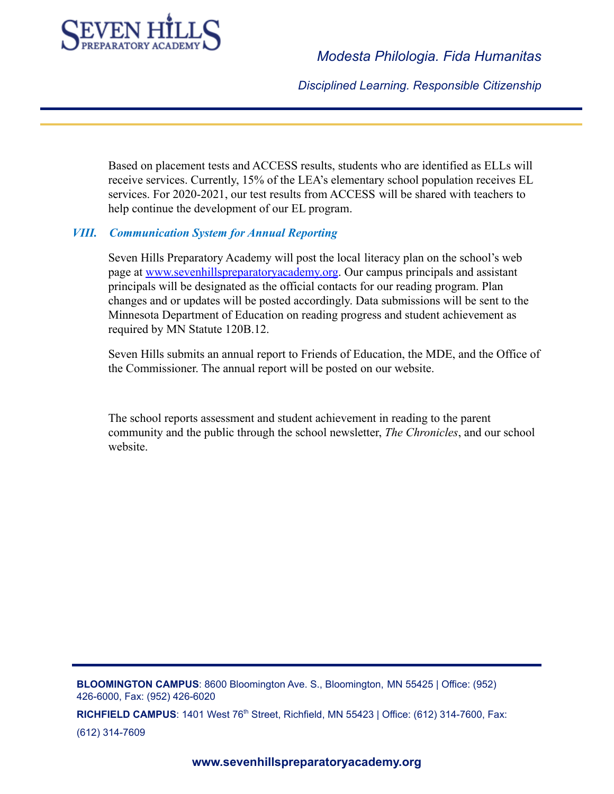

*Disciplined Learning. Responsible Citizenship*

Based on placement tests and ACCESS results, students who are identified as ELLs will receive services. Currently, 15% of the LEA's elementary school population receives EL services. For 2020-2021, our test results from ACCESS will be shared with teachers to help continue the development of our EL program.

#### *VIII. Communication System for Annual Reporting*

Seven Hills Preparatory Academy will post the local literacy plan on the school's web page at [www.sevenhillspreparatoryacademy.org](http://www.sevenhillspreparatoryacademy.org). Our campus principals and assistant principals will be designated as the official contacts for our reading program. Plan changes and or updates will be posted accordingly. Data submissions will be sent to the Minnesota Department of Education on reading progress and student achievement as required by MN Statute 120B.12.

Seven Hills submits an annual report to Friends of Education, the MDE, and the Office of the Commissioner. The annual report will be posted on our website.

The school reports assessment and student achievement in reading to the parent community and the public through the school newsletter, *The Chronicles*, and our school website.

**BLOOMINGTON CAMPUS**: 8600 Bloomington Ave. S., Bloomington, MN 55425 | Office: (952) 426-6000, Fax: (952) 426-6020

**RICHFIELD CAMPUS**: 1401 West 76<sup>th</sup> Street, Richfield, MN 55423 | Office: (612) 314-7600, Fax: